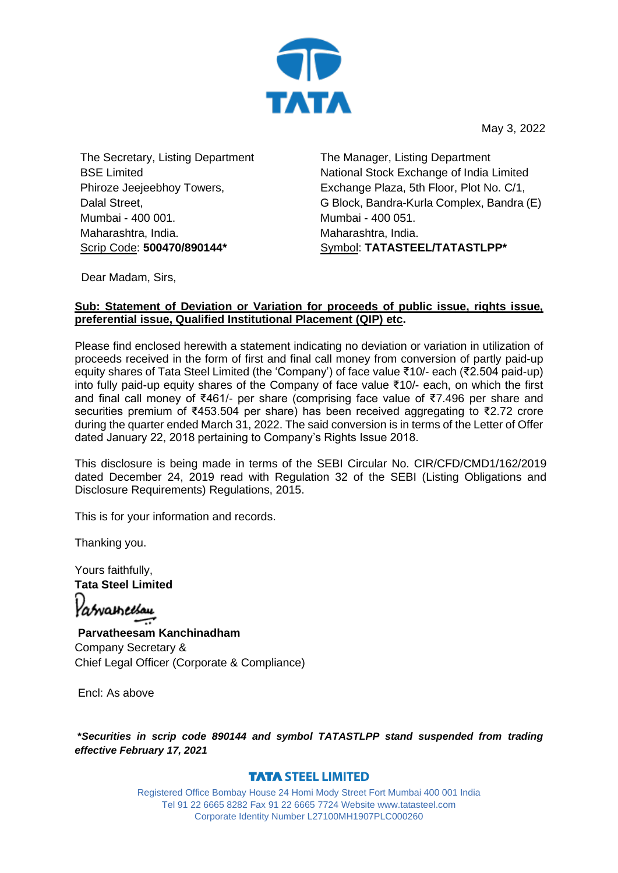

May 3, 2022

The Secretary, Listing Department BSE Limited Phiroze Jeejeebhoy Towers, Dalal Street, Mumbai - 400 001. Maharashtra, India. Scrip Code: **500470/890144\***

 The Manager, Listing Department National Stock Exchange of India Limited Exchange Plaza, 5th Floor, Plot No. C/1, G Block, Bandra-Kurla Complex, Bandra (E) Mumbai - 400 051. Maharashtra, India. Symbol: **TATASTEEL/TATASTLPP\***

Dear Madam, Sirs,

## **Sub: Statement of Deviation or Variation for proceeds of public issue, rights issue, preferential issue, Qualified Institutional Placement (QIP) etc.**

Please find enclosed herewith a statement indicating no deviation or variation in utilization of proceeds received in the form of first and final call money from conversion of partly paid-up equity shares of Tata Steel Limited (the 'Company') of face value ₹10/- each (₹2.504 paid-up) into fully paid-up equity shares of the Company of face value ₹10/- each, on which the first and final call money of ₹461/- per share (comprising face value of ₹7.496 per share and securities premium of ₹453.504 per share) has been received aggregating to ₹2.72 crore during the quarter ended March 31, 2022. The said conversion is in terms of the Letter of Offer dated January 22, 2018 pertaining to Company's Rights Issue 2018.

This disclosure is being made in terms of the SEBI Circular No. CIR/CFD/CMD1/162/2019 dated December 24, 2019 read with Regulation 32 of the SEBI (Listing Obligations and Disclosure Requirements) Regulations, 2015.

This is for your information and records.

Thanking you.

Yours faithfully, **Tata Steel Limited**

'abvametsau

**Parvatheesam Kanchinadham** Company Secretary & Chief Legal Officer (Corporate & Compliance)

Encl: As above

**\****Securities in scrip code 890144 and symbol TATASTLPP stand suspended from trading effective February 17, 2021*

## **TATA STEEL LIMITED**

Registered Office Bombay House 24 Homi Mody Street Fort Mumbai 400 001 India Tel 91 22 6665 8282 Fax 91 22 6665 7724 Website www.tatasteel.com Corporate Identity Number L27100MH1907PLC000260